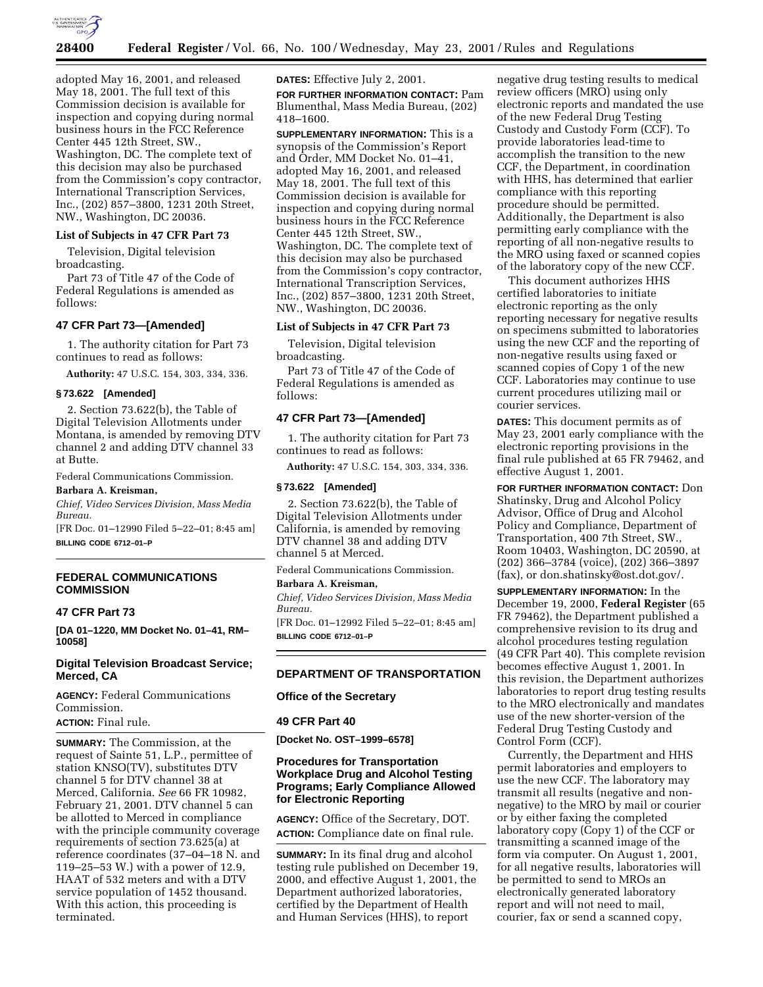

adopted May 16, 2001, and released May 18, 2001. The full text of this Commission decision is available for inspection and copying during normal business hours in the FCC Reference Center 445 12th Street, SW., Washington, DC. The complete text of this decision may also be purchased from the Commission's copy contractor, International Transcription Services, Inc., (202) 857–3800, 1231 20th Street, NW., Washington, DC 20036.

#### **List of Subjects in 47 CFR Part 73**

Television, Digital television broadcasting.

Part 73 of Title 47 of the Code of Federal Regulations is amended as follows:

## **47 CFR Part 73—[Amended]**

1. The authority citation for Part 73 continues to read as follows:

**Authority:** 47 U.S.C. 154, 303, 334, 336.

#### **§ 73.622 [Amended]**

2. Section 73.622(b), the Table of Digital Television Allotments under Montana, is amended by removing DTV channel 2 and adding DTV channel 33 at Butte.

Federal Communications Commission.

### **Barbara A. Kreisman,**

*Chief, Video Services Division, Mass Media Bureau.*

[FR Doc. 01–12990 Filed 5–22–01; 8:45 am] **BILLING CODE 6712–01–P**

# **FEDERAL COMMUNICATIONS COMMISSION**

#### **47 CFR Part 73**

**[DA 01–1220, MM Docket No. 01–41, RM– 10058]**

# **Digital Television Broadcast Service; Merced, CA**

**AGENCY:** Federal Communications Commission.

**ACTION:** Final rule.

**SUMMARY:** The Commission, at the request of Sainte 51, L.P., permittee of station KNSO(TV), substitutes DTV channel 5 for DTV channel 38 at Merced, California. *See* 66 FR 10982, February 21, 2001. DTV channel 5 can be allotted to Merced in compliance with the principle community coverage requirements of section 73.625(a) at reference coordinates (37–04–18 N. and 119–25–53 W.) with a power of 12.9, HAAT of 532 meters and with a DTV service population of 1452 thousand. With this action, this proceeding is terminated.

**DATES:** Effective July 2, 2001.

**FOR FURTHER INFORMATION CONTACT:** Pam Blumenthal, Mass Media Bureau, (202) 418–1600.

**SUPPLEMENTARY INFORMATION:** This is a synopsis of the Commission's Report and Order, MM Docket No. 01–41, adopted May 16, 2001, and released May 18, 2001. The full text of this Commission decision is available for inspection and copying during normal business hours in the FCC Reference Center 445 12th Street, SW., Washington, DC. The complete text of this decision may also be purchased from the Commission's copy contractor, International Transcription Services, Inc., (202) 857–3800, 1231 20th Street, NW., Washington, DC 20036.

## **List of Subjects in 47 CFR Part 73**

Television, Digital television broadcasting.

Part 73 of Title 47 of the Code of Federal Regulations is amended as follows:

### **47 CFR Part 73—[Amended]**

1. The authority citation for Part 73 continues to read as follows:

**Authority:** 47 U.S.C. 154, 303, 334, 336.

#### **§ 73.622 [Amended]**

2. Section 73.622(b), the Table of Digital Television Allotments under California, is amended by removing DTV channel 38 and adding DTV channel 5 at Merced.

Federal Communications Commission. **Barbara A. Kreisman,**

*Chief, Video Services Division, Mass Media Bureau.*

[FR Doc. 01–12992 Filed 5–22–01; 8:45 am] **BILLING CODE 6712–01–P**

# **DEPARTMENT OF TRANSPORTATION**

## **Office of the Secretary**

### **49 CFR Part 40**

**[Docket No. OST–1999–6578]**

## **Procedures for Transportation Workplace Drug and Alcohol Testing Programs; Early Compliance Allowed for Electronic Reporting**

**AGENCY:** Office of the Secretary, DOT. **ACTION:** Compliance date on final rule.

**SUMMARY:** In its final drug and alcohol testing rule published on December 19, 2000, and effective August 1, 2001, the Department authorized laboratories, certified by the Department of Health and Human Services (HHS), to report

negative drug testing results to medical review officers (MRO) using only electronic reports and mandated the use of the new Federal Drug Testing Custody and Custody Form (CCF). To provide laboratories lead-time to accomplish the transition to the new CCF, the Department, in coordination with HHS, has determined that earlier compliance with this reporting procedure should be permitted. Additionally, the Department is also permitting early compliance with the reporting of all non-negative results to the MRO using faxed or scanned copies of the laboratory copy of the new CCF.

This document authorizes HHS certified laboratories to initiate electronic reporting as the only reporting necessary for negative results on specimens submitted to laboratories using the new CCF and the reporting of non-negative results using faxed or scanned copies of Copy 1 of the new CCF. Laboratories may continue to use current procedures utilizing mail or courier services.

**DATES:** This document permits as of May 23, 2001 early compliance with the electronic reporting provisions in the final rule published at 65 FR 79462, and effective August 1, 2001.

**FOR FURTHER INFORMATION CONTACT:** Don Shatinsky, Drug and Alcohol Policy Advisor, Office of Drug and Alcohol Policy and Compliance, Department of Transportation, 400 7th Street, SW., Room 10403, Washington, DC 20590, at (202) 366–3784 (voice), (202) 366–3897 (fax), or don.shatinsky@ost.dot.gov/.

**SUPPLEMENTARY INFORMATION:** In the December 19, 2000, **Federal Register** (65 FR 79462), the Department published a comprehensive revision to its drug and alcohol procedures testing regulation (49 CFR Part 40). This complete revision becomes effective August 1, 2001. In this revision, the Department authorizes laboratories to report drug testing results to the MRO electronically and mandates use of the new shorter-version of the Federal Drug Testing Custody and Control Form (CCF).

Currently, the Department and HHS permit laboratories and employers to use the new CCF. The laboratory may transmit all results (negative and nonnegative) to the MRO by mail or courier or by either faxing the completed laboratory copy (Copy 1) of the CCF or transmitting a scanned image of the form via computer. On August 1, 2001, for all negative results, laboratories will be permitted to send to MROs an electronically generated laboratory report and will not need to mail, courier, fax or send a scanned copy,